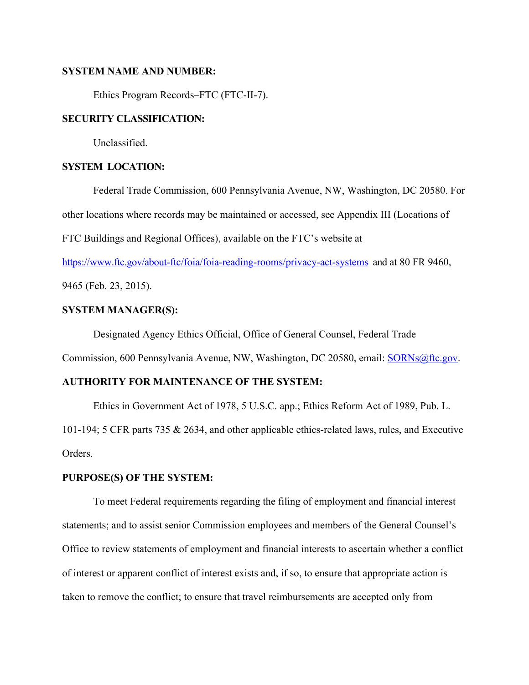### **SYSTEM NAME AND NUMBER:**

Ethics Program Records–FTC (FTC-II-7).

### **SECURITY CLASSIFICATION:**

Unclassified.

# **SYSTEM LOCATION:**

Federal Trade Commission, 600 Pennsylvania Avenue, NW, Washington, DC 20580. For other locations where records may be maintained or accessed, see Appendix III (Locations of

FTC Buildings and Regional Offices), available on the FTC's website at

https://www.ftc.gov/about-ftc/foia/foia-reading-rooms/privacy-act-systems and at 80 FR 9460,

9465 (Feb. 23, 2015).

# **SYSTEM MANAGER(S):**

Designated Agency Ethics Official, Office of General Counsel, Federal Trade

Commission, 600 Pennsylvania Avenue, NW, Washington, DC 20580, email: SORNs@ftc.gov.

# **AUTHORITY FOR MAINTENANCE OF THE SYSTEM:**

Ethics in Government Act of 1978, 5 U.S.C. app.; Ethics Reform Act of 1989, Pub. L.

101-194; 5 CFR parts 735 & 2634, and other applicable ethics-related laws, rules, and Executive Orders.

### **PURPOSE(S) OF THE SYSTEM:**

 To meet Federal requirements regarding the filing of employment and financial interest statements; and to assist senior Commission employees and members of the General Counsel's Office to review statements of employment and financial interests to ascertain whether a conflict of interest or apparent conflict of interest exists and, if so, to ensure that appropriate action is taken to remove the conflict; to ensure that travel reimbursements are accepted only from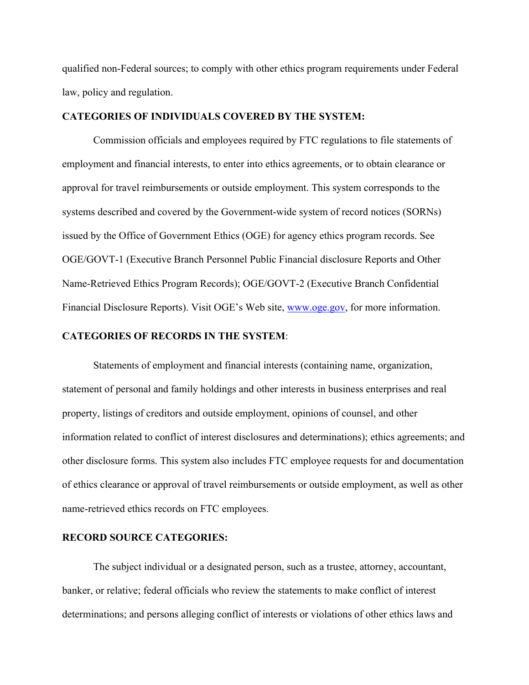qualified non-Federal sources; to comply with other ethics program requirements under Federal law, policy and regulation.

### **CATEGORIES OF INDIVIDUALS COVERED BY THE SYSTEM:**

Commission officials and employees required by FTC regulations to file statements of employment and financial interests, to enter into ethics agreements, or to obtain clearance or approval for travel reimbursements or outside employment. This system corresponds to the systems described and covered by the Government-wide system of record notices (SORNs) issued by the Office of Government Ethics (OGE) for agency ethics program records. See OGE/GOVT-1 (Executive Branch Personnel Public Financial disclosure Reports and Other Name-Retrieved Ethics Program Records); OGE/GOVT-2 (Executive Branch Confidential Financial Disclosure Reports). Visit OGE's Web site, www.oge.gov, for more information.

### **CATEGORIES OF RECORDS IN THE SYSTEM**:

Statements of employment and financial interests (containing name, organization, statement of personal and family holdings and other interests in business enterprises and real property, listings of creditors and outside employment, opinions of counsel, and other information related to conflict of interest disclosures and determinations); ethics agreements; and other disclosure forms. This system also includes FTC employee requests for and documentation of ethics clearance or approval of travel reimbursements or outside employment, as well as other name-retrieved ethics records on FTC employees.

# **RECORD SOURCE CATEGORIES:**

The subject individual or a designated person, such as a trustee, attorney, accountant, banker, or relative; federal officials who review the statements to make conflict of interest determinations; and persons alleging conflict of interests or violations of other ethics laws and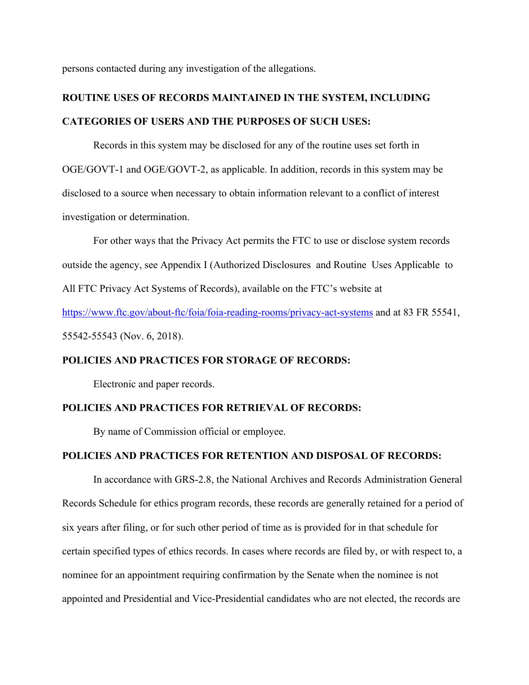persons contacted during any investigation of the allegations.

# **ROUTINE USES OF RECORDS MAINTAINED IN THE SYSTEM, INCLUDING CATEGORIES OF USERS AND THE PURPOSES OF SUCH USES:**

Records in this system may be disclosed for any of the routine uses set forth in OGE/GOVT-1 and OGE/GOVT-2, as applicable. In addition, records in this system may be disclosed to a source when necessary to obtain information relevant to a conflict of interest investigation or determination.

For other ways that the Privacy Act permits the FTC to use or disclose system records outside the agency, see Appendix I (Authorized Disclosures and Routine Uses Applicable to All FTC Privacy Act Systems of Records), available on the FTC's website at https://www.ftc.gov/about-ftc/foia/foia-reading-rooms/privacy-act-systems and at 83 FR 55541, 55542-55543 (Nov. 6, 2018).

# **POLICIES AND PRACTICES FOR STORAGE OF RECORDS:**

Electronic and paper records.

#### **POLICIES AND PRACTICES FOR RETRIEVAL OF RECORDS:**

By name of Commission official or employee.

### **POLICIES AND PRACTICES FOR RETENTION AND DISPOSAL OF RECORDS:**

In accordance with GRS-2.8, the National Archives and Records Administration General Records Schedule for ethics program records, these records are generally retained for a period of six years after filing, or for such other period of time as is provided for in that schedule for certain specified types of ethics records. In cases where records are filed by, or with respect to, a nominee for an appointment requiring confirmation by the Senate when the nominee is not appointed and Presidential and Vice-Presidential candidates who are not elected, the records are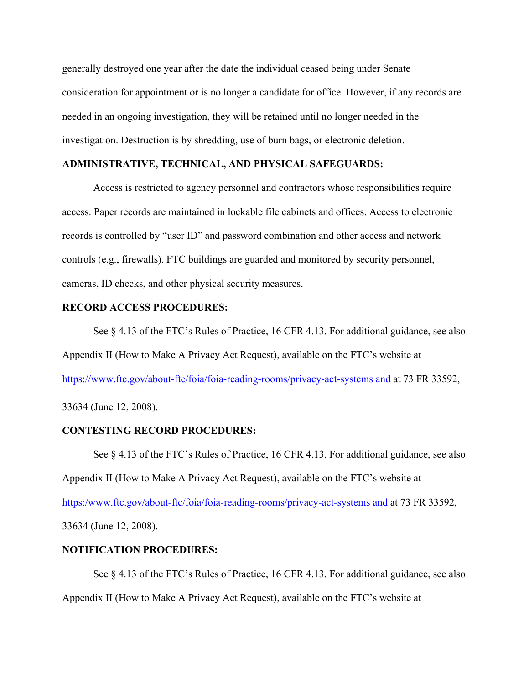generally destroyed one year after the date the individual ceased being under Senate consideration for appointment or is no longer a candidate for office. However, if any records are needed in an ongoing investigation, they will be retained until no longer needed in the investigation. Destruction is by shredding, use of burn bags, or electronic deletion.

## **ADMINISTRATIVE, TECHNICAL, AND PHYSICAL SAFEGUARDS:**

Access is restricted to agency personnel and contractors whose responsibilities require access. Paper records are maintained in lockable file cabinets and offices. Access to electronic records is controlled by "user ID" and password combination and other access and network controls (e.g., firewalls). FTC buildings are guarded and monitored by security personnel, cameras, ID checks, and other physical security measures.

#### **RECORD ACCESS PROCEDURES:**

See § 4.13 of the FTC's Rules of Practice, 16 CFR 4.13. For additional guidance, see also Appendix II (How to Make A Privacy Act Request), available on the FTC's website at https://www.ftc.gov/about-ftc/foia/foia-reading-rooms/privacy-act-systems and at 73 FR 33592,

33634 (June 12, 2008).

### **CONTESTING RECORD PROCEDURES:**

See § 4.13 of the FTC's Rules of Practice, 16 CFR 4.13. For additional guidance, see also Appendix II (How to Make A Privacy Act Request), available on the FTC's website at https:/www.ftc.gov/about-ftc/foia/foia-reading-rooms/privacy-act-systems and at 73 FR 33592, 33634 (June 12, 2008).

### **NOTIFICATION PROCEDURES:**

See § 4.13 of the FTC's Rules of Practice, 16 CFR 4.13. For additional guidance, see also Appendix II (How to Make A Privacy Act Request), available on the FTC's website at